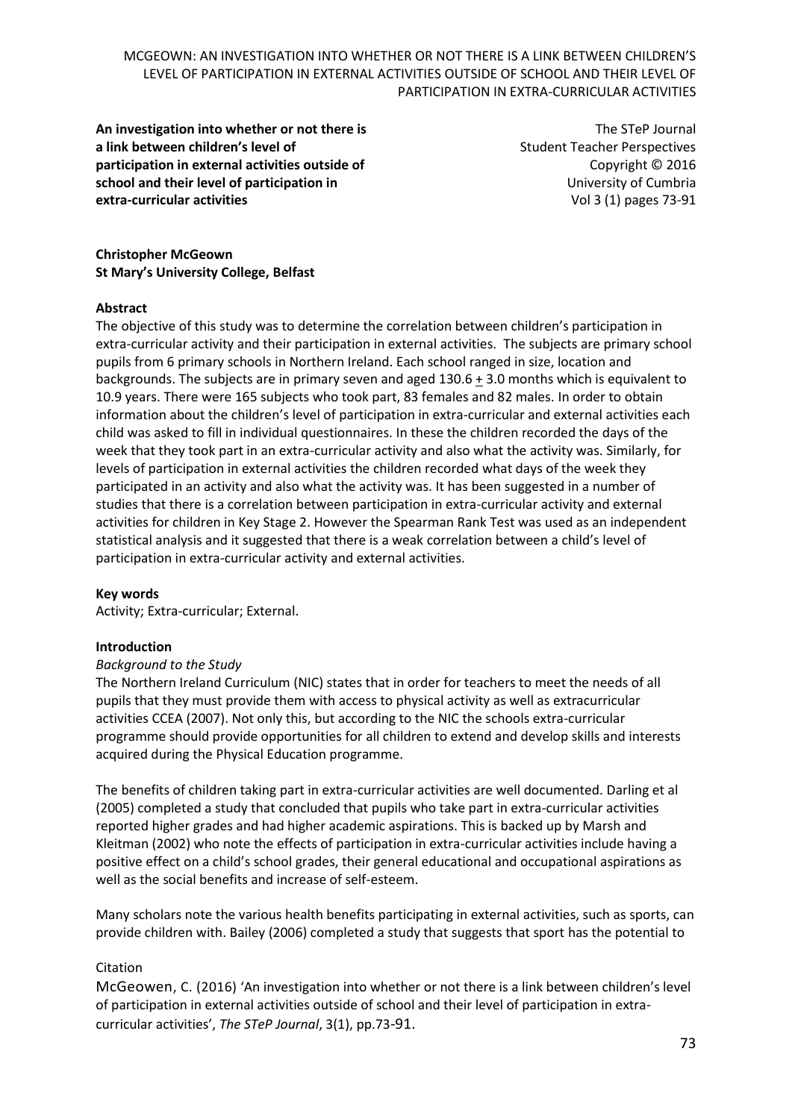**An investigation into whether or not there is a link between children's level of participation in external activities outside of school and their level of participation in extra-curricular activities**

The STeP Journal Student Teacher Perspectives Copyright © 2016 University of Cumbria Vol 3 (1) pages 73-91

**Christopher McGeown St Mary's University College, Belfast**

#### **Abstract**

The objective of this study was to determine the correlation between children's participation in extra-curricular activity and their participation in external activities. The subjects are primary school pupils from 6 primary schools in Northern Ireland. Each school ranged in size, location and backgrounds. The subjects are in primary seven and aged 130.6 + 3.0 months which is equivalent to 10.9 years. There were 165 subjects who took part, 83 females and 82 males. In order to obtain information about the children's level of participation in extra-curricular and external activities each child was asked to fill in individual questionnaires. In these the children recorded the days of the week that they took part in an extra-curricular activity and also what the activity was. Similarly, for levels of participation in external activities the children recorded what days of the week they participated in an activity and also what the activity was. It has been suggested in a number of studies that there is a correlation between participation in extra-curricular activity and external activities for children in Key Stage 2. However the Spearman Rank Test was used as an independent statistical analysis and it suggested that there is a weak correlation between a child's level of participation in extra-curricular activity and external activities.

#### **Key words**

Activity; Extra-curricular; External.

#### **Introduction**

#### *Background to the Study*

The Northern Ireland Curriculum (NIC) states that in order for teachers to meet the needs of all pupils that they must provide them with access to physical activity as well as extracurricular activities CCEA (2007). Not only this, but according to the NIC the schools extra-curricular programme should provide opportunities for all children to extend and develop skills and interests acquired during the Physical Education programme.

The benefits of children taking part in extra-curricular activities are well documented. Darling et al (2005) completed a study that concluded that pupils who take part in extra-curricular activities reported higher grades and had higher academic aspirations. This is backed up by Marsh and Kleitman (2002) who note the effects of participation in extra-curricular activities include having a positive effect on a child's school grades, their general educational and occupational aspirations as well as the social benefits and increase of self-esteem.

Many scholars note the various health benefits participating in external activities, such as sports, can provide children with. Bailey (2006) completed a study that suggests that sport has the potential to

## Citation

McGeowen, C. (2016) 'An investigation into whether or not there is a link between children's level of participation in external activities outside of school and their level of participation in extracurricular activities', *The STeP Journal*, 3(1), pp.73-91.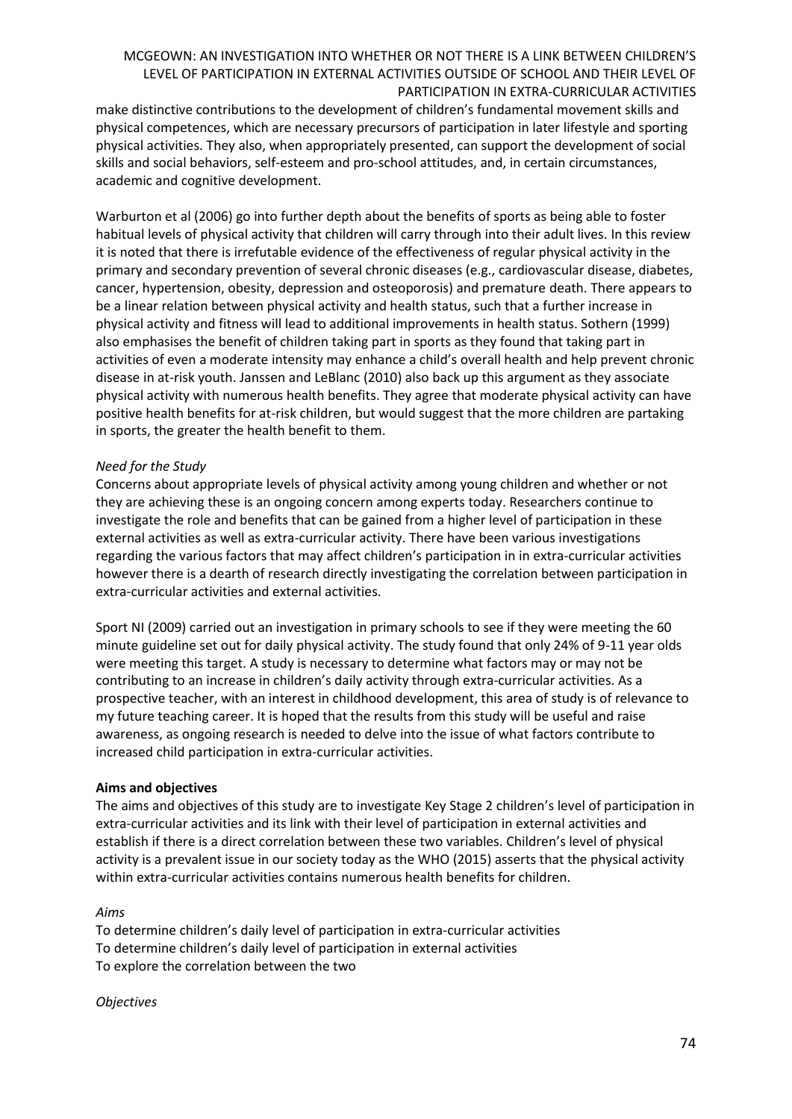make distinctive contributions to the development of children's fundamental movement skills and physical competences, which are necessary precursors of participation in later lifestyle and sporting physical activities. They also, when appropriately presented, can support the development of social skills and social behaviors, self-esteem and pro-school attitudes, and, in certain circumstances, academic and cognitive development.

Warburton et al (2006) go into further depth about the benefits of sports as being able to foster habitual levels of physical activity that children will carry through into their adult lives. In this review it is noted that there is irrefutable evidence of the effectiveness of regular physical activity in the primary and secondary prevention of several chronic diseases (e.g., cardiovascular disease, diabetes, cancer, hypertension, obesity, depression and osteoporosis) and premature death. There appears to be a linear relation between physical activity and health status, such that a further increase in physical activity and fitness will lead to additional improvements in health status. Sothern (1999) also emphasises the benefit of children taking part in sports as they found that taking part in activities of even a moderate intensity may enhance a child's overall health and help prevent chronic disease in at-risk youth. Janssen and LeBlanc (2010) also back up this argument as they associate physical activity with numerous health benefits. They agree that moderate physical activity can have positive health benefits for at-risk children, but would suggest that the more children are partaking in sports, the greater the health benefit to them.

## *Need for the Study*

Concerns about appropriate levels of physical activity among young children and whether or not they are achieving these is an ongoing concern among experts today. Researchers continue to investigate the role and benefits that can be gained from a higher level of participation in these external activities as well as extra-curricular activity. There have been various investigations regarding the various factors that may affect children's participation in in extra-curricular activities however there is a dearth of research directly investigating the correlation between participation in extra-curricular activities and external activities.

Sport NI (2009) carried out an investigation in primary schools to see if they were meeting the 60 minute guideline set out for daily physical activity. The study found that only 24% of 9-11 year olds were meeting this target. A study is necessary to determine what factors may or may not be contributing to an increase in children's daily activity through extra-curricular activities. As a prospective teacher, with an interest in childhood development, this area of study is of relevance to my future teaching career. It is hoped that the results from this study will be useful and raise awareness, as ongoing research is needed to delve into the issue of what factors contribute to increased child participation in extra-curricular activities.

#### **Aims and objectives**

The aims and objectives of this study are to investigate Key Stage 2 children's level of participation in extra-curricular activities and its link with their level of participation in external activities and establish if there is a direct correlation between these two variables. Children's level of physical activity is a prevalent issue in our society today as the WHO (2015) asserts that the physical activity within extra-curricular activities contains numerous health benefits for children.

#### *Aims*

To determine children's daily level of participation in extra-curricular activities To determine children's daily level of participation in external activities To explore the correlation between the two

#### *Objectives*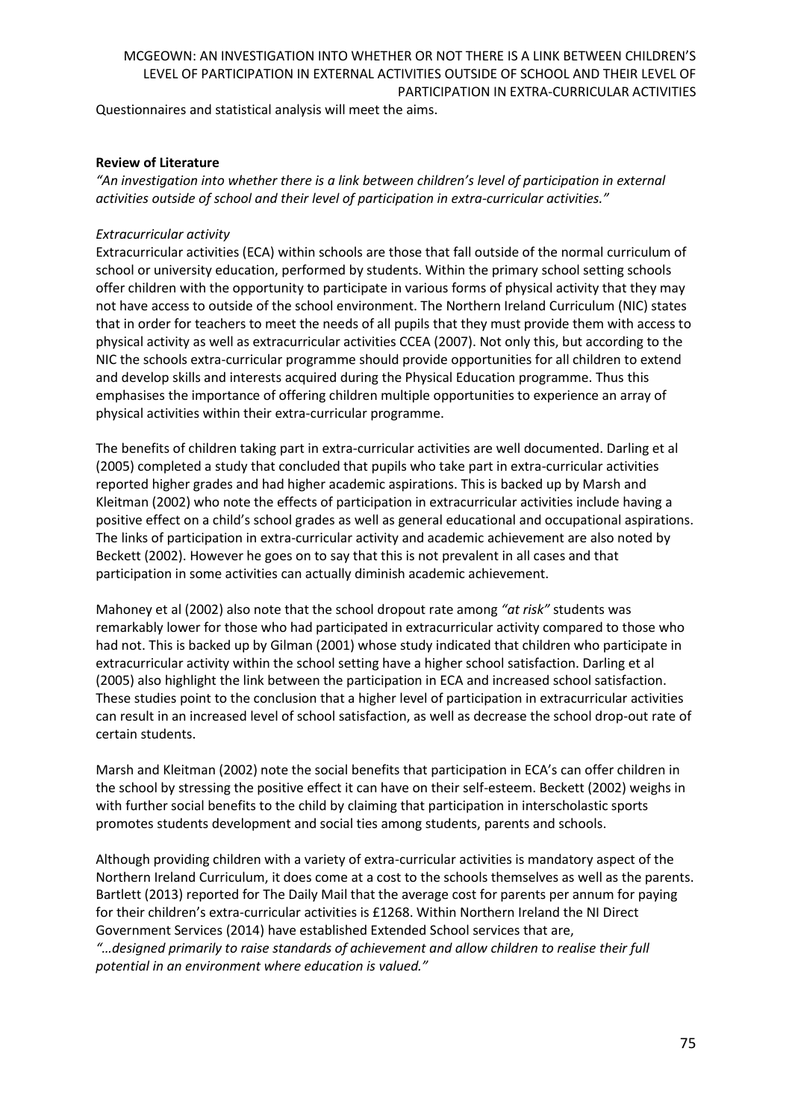Questionnaires and statistical analysis will meet the aims.

## **Review of Literature**

*"An investigation into whether there is a link between children's level of participation in external activities outside of school and their level of participation in extra-curricular activities."*

## *Extracurricular activity*

Extracurricular activities (ECA) within schools are those that fall outside of the normal curriculum of school or university education, performed by students. Within the primary school setting schools offer children with the opportunity to participate in various forms of physical activity that they may not have access to outside of the school environment. The Northern Ireland Curriculum (NIC) states that in order for teachers to meet the needs of all pupils that they must provide them with access to physical activity as well as extracurricular activities CCEA (2007). Not only this, but according to the NIC the schools extra-curricular programme should provide opportunities for all children to extend and develop skills and interests acquired during the Physical Education programme. Thus this emphasises the importance of offering children multiple opportunities to experience an array of physical activities within their extra-curricular programme.

The benefits of children taking part in extra-curricular activities are well documented. Darling et al (2005) completed a study that concluded that pupils who take part in extra-curricular activities reported higher grades and had higher academic aspirations. This is backed up by Marsh and Kleitman (2002) who note the effects of participation in extracurricular activities include having a positive effect on a child's school grades as well as general educational and occupational aspirations. The links of participation in extra-curricular activity and academic achievement are also noted by Beckett (2002). However he goes on to say that this is not prevalent in all cases and that participation in some activities can actually diminish academic achievement.

Mahoney et al (2002) also note that the school dropout rate among *"at risk"* students was remarkably lower for those who had participated in extracurricular activity compared to those who had not. This is backed up by Gilman (2001) whose study indicated that children who participate in extracurricular activity within the school setting have a higher school satisfaction. Darling et al (2005) also highlight the link between the participation in ECA and increased school satisfaction. These studies point to the conclusion that a higher level of participation in extracurricular activities can result in an increased level of school satisfaction, as well as decrease the school drop-out rate of certain students.

Marsh and Kleitman (2002) note the social benefits that participation in ECA's can offer children in the school by stressing the positive effect it can have on their self-esteem. Beckett (2002) weighs in with further social benefits to the child by claiming that participation in interscholastic sports promotes students development and social ties among students, parents and schools.

Although providing children with a variety of extra-curricular activities is mandatory aspect of the Northern Ireland Curriculum, it does come at a cost to the schools themselves as well as the parents. Bartlett (2013) reported for The Daily Mail that the average cost for parents per annum for paying for their children's extra-curricular activities is £1268. Within Northern Ireland the NI Direct Government Services (2014) have established Extended School services that are, *"…designed primarily to raise standards of achievement and allow children to realise their full potential in an environment where education is valued."*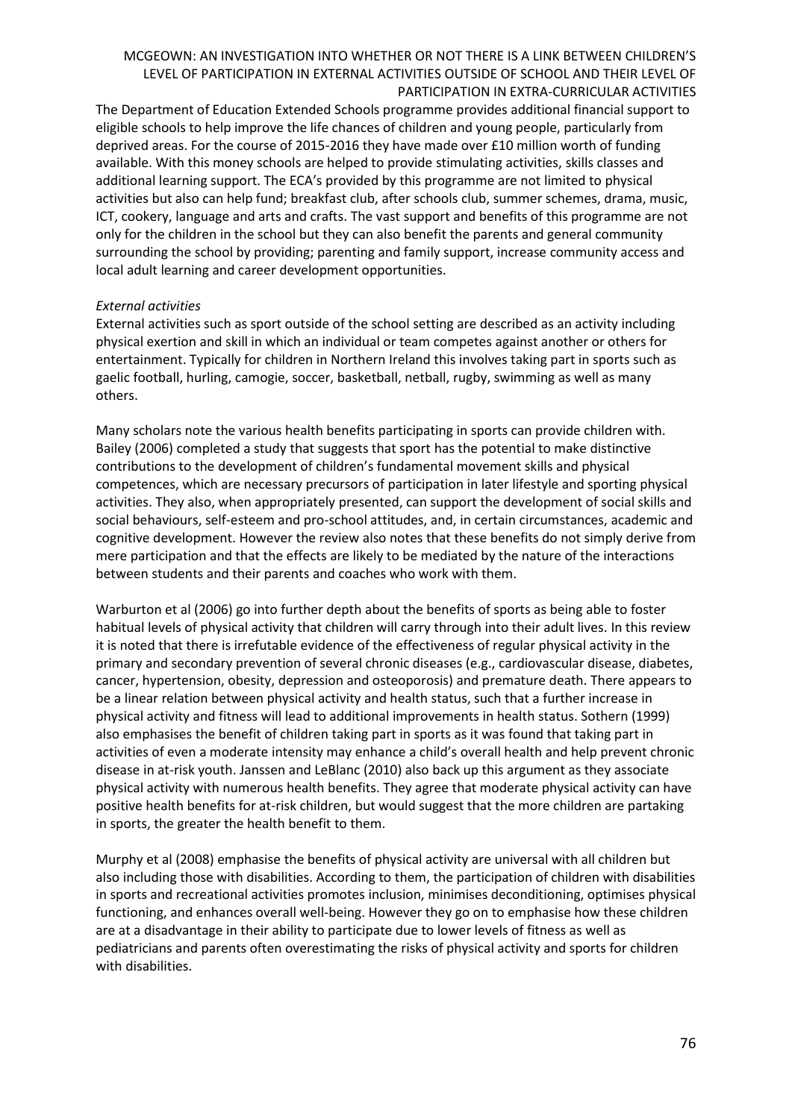The Department of Education Extended Schools programme provides additional financial support to eligible schools to help improve the life chances of children and young people, particularly from deprived areas. For the course of 2015-2016 they have made over £10 million worth of funding available. With this money schools are helped to provide stimulating activities, skills classes and additional learning support. The ECA's provided by this programme are not limited to physical activities but also can help fund; breakfast club, after schools club, summer schemes, drama, music, ICT, cookery, language and arts and crafts. The vast support and benefits of this programme are not only for the children in the school but they can also benefit the parents and general community surrounding the school by providing; parenting and family support, increase community access and local adult learning and career development opportunities.

## *External activities*

External activities such as sport outside of the school setting are described as an activity including physical exertion and skill in which an individual or team competes against another or others for entertainment. Typically for children in Northern Ireland this involves taking part in sports such as gaelic football, hurling, camogie, soccer, basketball, netball, rugby, swimming as well as many others.

Many scholars note the various health benefits participating in sports can provide children with. Bailey (2006) completed a study that suggests that sport has the potential to make distinctive contributions to the development of children's fundamental movement skills and physical competences, which are necessary precursors of participation in later lifestyle and sporting physical activities. They also, when appropriately presented, can support the development of social skills and social behaviours, self-esteem and pro-school attitudes, and, in certain circumstances, academic and cognitive development. However the review also notes that these benefits do not simply derive from mere participation and that the effects are likely to be mediated by the nature of the interactions between students and their parents and coaches who work with them.

Warburton et al (2006) go into further depth about the benefits of sports as being able to foster habitual levels of physical activity that children will carry through into their adult lives. In this review it is noted that there is irrefutable evidence of the effectiveness of regular physical activity in the primary and secondary prevention of several chronic diseases (e.g., cardiovascular disease, diabetes, cancer, hypertension, obesity, depression and osteoporosis) and premature death. There appears to be a linear relation between physical activity and health status, such that a further increase in physical activity and fitness will lead to additional improvements in health status. Sothern (1999) also emphasises the benefit of children taking part in sports as it was found that taking part in activities of even a moderate intensity may enhance a child's overall health and help prevent chronic disease in at-risk youth. Janssen and LeBlanc (2010) also back up this argument as they associate physical activity with numerous health benefits. They agree that moderate physical activity can have positive health benefits for at-risk children, but would suggest that the more children are partaking in sports, the greater the health benefit to them.

Murphy et al (2008) emphasise the benefits of physical activity are universal with all children but also including those with disabilities. According to them, the participation of children with disabilities in sports and recreational activities promotes inclusion, minimises deconditioning, optimises physical functioning, and enhances overall well-being. However they go on to emphasise how these children are at a disadvantage in their ability to participate due to lower levels of fitness as well as pediatricians and parents often overestimating the risks of physical activity and sports for children with disabilities.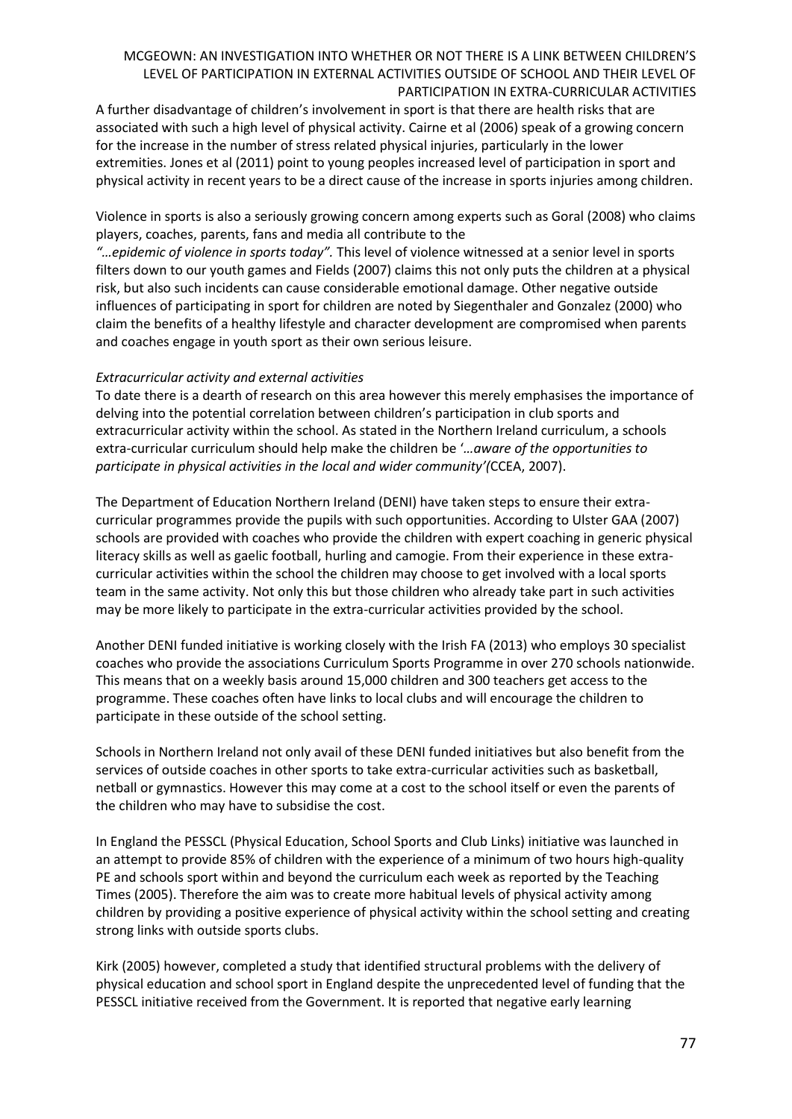A further disadvantage of children's involvement in sport is that there are health risks that are associated with such a high level of physical activity. Cairne et al (2006) speak of a growing concern for the increase in the number of stress related physical injuries, particularly in the lower extremities. Jones et al (2011) point to young peoples increased level of participation in sport and physical activity in recent years to be a direct cause of the increase in sports injuries among children.

Violence in sports is also a seriously growing concern among experts such as Goral (2008) who claims players, coaches, parents, fans and media all contribute to the

*"…epidemic of violence in sports today".* This level of violence witnessed at a senior level in sports filters down to our youth games and Fields (2007) claims this not only puts the children at a physical risk, but also such incidents can cause considerable emotional damage. Other negative outside influences of participating in sport for children are noted by Siegenthaler and Gonzalez (2000) who claim the benefits of a healthy lifestyle and character development are compromised when parents and coaches engage in youth sport as their own serious leisure.

## *Extracurricular activity and external activities*

To date there is a dearth of research on this area however this merely emphasises the importance of delving into the potential correlation between children's participation in club sports and extracurricular activity within the school. As stated in the Northern Ireland curriculum, a schools extra-curricular curriculum should help make the children be '*…aware of the opportunities to participate in physical activities in the local and wider community'(*CCEA, 2007).

The Department of Education Northern Ireland (DENI) have taken steps to ensure their extracurricular programmes provide the pupils with such opportunities. According to Ulster GAA (2007) schools are provided with coaches who provide the children with expert coaching in generic physical literacy skills as well as gaelic football, hurling and camogie. From their experience in these extracurricular activities within the school the children may choose to get involved with a local sports team in the same activity. Not only this but those children who already take part in such activities may be more likely to participate in the extra-curricular activities provided by the school.

Another DENI funded initiative is working closely with the Irish FA (2013) who employs 30 specialist coaches who provide the associations Curriculum Sports Programme in over 270 schools nationwide. This means that on a weekly basis around 15,000 children and 300 teachers get access to the programme. These coaches often have links to local clubs and will encourage the children to participate in these outside of the school setting.

Schools in Northern Ireland not only avail of these DENI funded initiatives but also benefit from the services of outside coaches in other sports to take extra-curricular activities such as basketball, netball or gymnastics. However this may come at a cost to the school itself or even the parents of the children who may have to subsidise the cost.

In England the PESSCL (Physical Education, School Sports and Club Links) initiative was launched in an attempt to provide 85% of children with the experience of a minimum of two hours high-quality PE and schools sport within and beyond the curriculum each week as reported by the Teaching Times (2005). Therefore the aim was to create more habitual levels of physical activity among children by providing a positive experience of physical activity within the school setting and creating strong links with outside sports clubs.

Kirk (2005) however, completed a study that identified structural problems with the delivery of physical education and school sport in England despite the unprecedented level of funding that the PESSCL initiative received from the Government. It is reported that negative early learning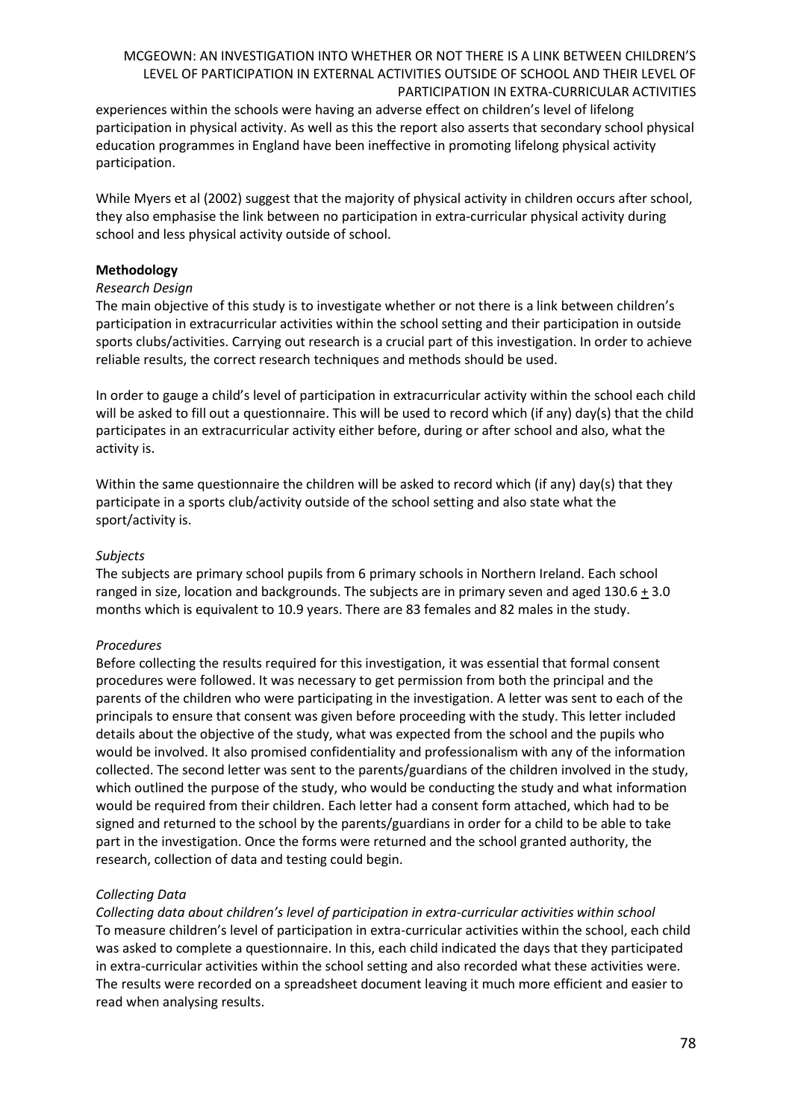experiences within the schools were having an adverse effect on children's level of lifelong participation in physical activity. As well as this the report also asserts that secondary school physical education programmes in England have been ineffective in promoting lifelong physical activity participation.

While Myers et al (2002) suggest that the majority of physical activity in children occurs after school, they also emphasise the link between no participation in extra-curricular physical activity during school and less physical activity outside of school.

## **Methodology**

#### *Research Design*

The main objective of this study is to investigate whether or not there is a link between children's participation in extracurricular activities within the school setting and their participation in outside sports clubs/activities. Carrying out research is a crucial part of this investigation. In order to achieve reliable results, the correct research techniques and methods should be used.

In order to gauge a child's level of participation in extracurricular activity within the school each child will be asked to fill out a questionnaire. This will be used to record which (if any) day(s) that the child participates in an extracurricular activity either before, during or after school and also, what the activity is.

Within the same questionnaire the children will be asked to record which (if any) day(s) that they participate in a sports club/activity outside of the school setting and also state what the sport/activity is.

## *Subjects*

The subjects are primary school pupils from 6 primary schools in Northern Ireland. Each school ranged in size, location and backgrounds. The subjects are in primary seven and aged 130.6 + 3.0 months which is equivalent to 10.9 years. There are 83 females and 82 males in the study.

## *Procedures*

Before collecting the results required for this investigation, it was essential that formal consent procedures were followed. It was necessary to get permission from both the principal and the parents of the children who were participating in the investigation. A letter was sent to each of the principals to ensure that consent was given before proceeding with the study. This letter included details about the objective of the study, what was expected from the school and the pupils who would be involved. It also promised confidentiality and professionalism with any of the information collected. The second letter was sent to the parents/guardians of the children involved in the study, which outlined the purpose of the study, who would be conducting the study and what information would be required from their children. Each letter had a consent form attached, which had to be signed and returned to the school by the parents/guardians in order for a child to be able to take part in the investigation. Once the forms were returned and the school granted authority, the research, collection of data and testing could begin.

## *Collecting Data*

*Collecting data about children's level of participation in extra-curricular activities within school* To measure children's level of participation in extra-curricular activities within the school, each child was asked to complete a questionnaire. In this, each child indicated the days that they participated in extra-curricular activities within the school setting and also recorded what these activities were. The results were recorded on a spreadsheet document leaving it much more efficient and easier to read when analysing results.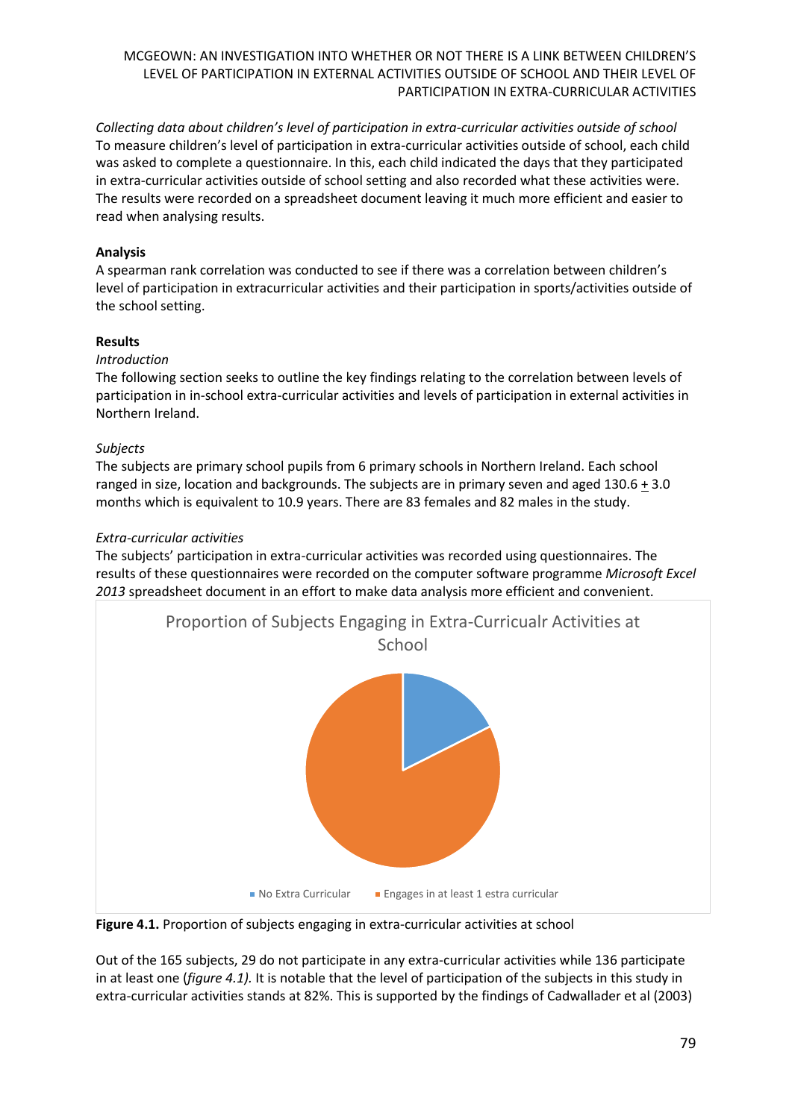*Collecting data about children's level of participation in extra-curricular activities outside of school* To measure children's level of participation in extra-curricular activities outside of school, each child was asked to complete a questionnaire. In this, each child indicated the days that they participated in extra-curricular activities outside of school setting and also recorded what these activities were. The results were recorded on a spreadsheet document leaving it much more efficient and easier to read when analysing results.

# **Analysis**

A spearman rank correlation was conducted to see if there was a correlation between children's level of participation in extracurricular activities and their participation in sports/activities outside of the school setting.

# **Results**

## *Introduction*

The following section seeks to outline the key findings relating to the correlation between levels of participation in in-school extra-curricular activities and levels of participation in external activities in Northern Ireland.

# *Subjects*

The subjects are primary school pupils from 6 primary schools in Northern Ireland. Each school ranged in size, location and backgrounds. The subjects are in primary seven and aged 130.6 + 3.0 months which is equivalent to 10.9 years. There are 83 females and 82 males in the study.

# *Extra-curricular activities*

The subjects' participation in extra-curricular activities was recorded using questionnaires. The results of these questionnaires were recorded on the computer software programme *Microsoft Excel 2013* spreadsheet document in an effort to make data analysis more efficient and convenient.



**Figure 4.1.** Proportion of subjects engaging in extra-curricular activities at school

Out of the 165 subjects, 29 do not participate in any extra-curricular activities while 136 participate in at least one (*figure 4.1).* It is notable that the level of participation of the subjects in this study in extra-curricular activities stands at 82%. This is supported by the findings of Cadwallader et al (2003)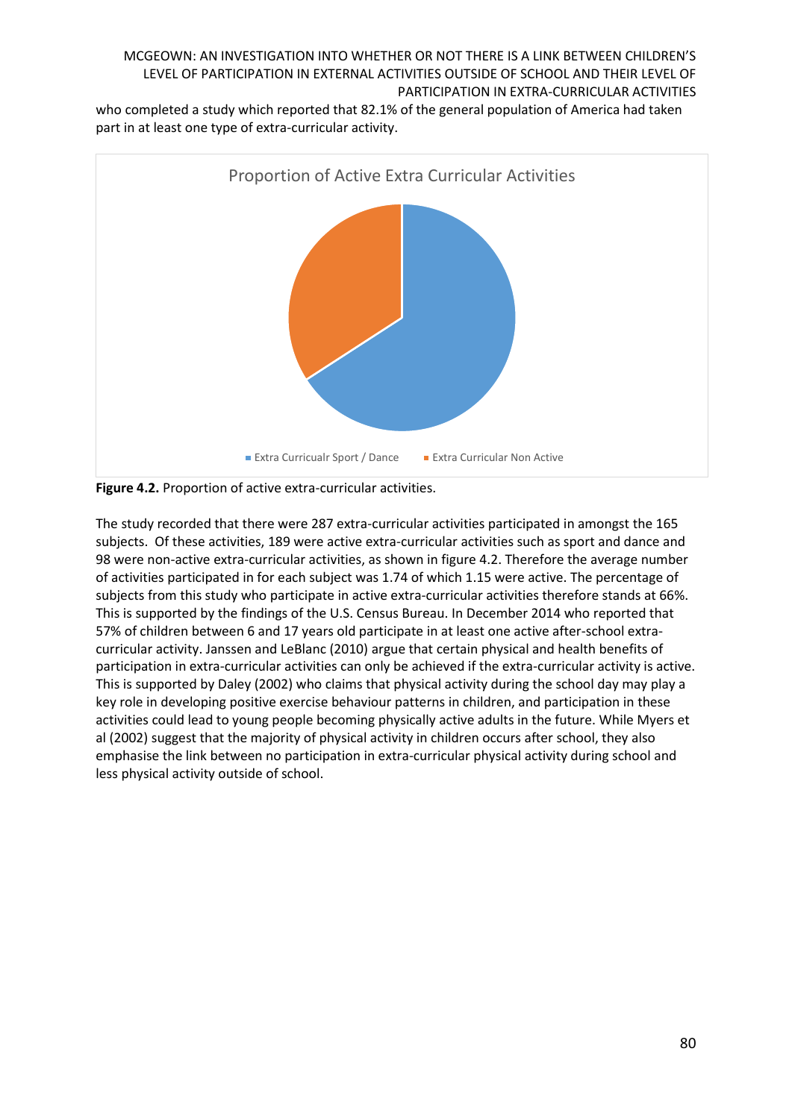who completed a study which reported that 82.1% of the general population of America had taken part in at least one type of extra-curricular activity.



**Figure 4.2.** Proportion of active extra-curricular activities.

The study recorded that there were 287 extra-curricular activities participated in amongst the 165 subjects. Of these activities, 189 were active extra-curricular activities such as sport and dance and 98 were non-active extra-curricular activities, as shown in figure 4.2. Therefore the average number of activities participated in for each subject was 1.74 of which 1.15 were active. The percentage of subjects from this study who participate in active extra-curricular activities therefore stands at 66%. This is supported by the findings of the U.S. Census Bureau. In December 2014 who reported that 57% of children between 6 and 17 years old participate in at least one active after-school extracurricular activity. Janssen and LeBlanc (2010) argue that certain physical and health benefits of participation in extra-curricular activities can only be achieved if the extra-curricular activity is active. This is supported by Daley (2002) who claims that physical activity during the school day may play a key role in developing positive exercise behaviour patterns in children, and participation in these activities could lead to young people becoming physically active adults in the future. While Myers et al (2002) suggest that the majority of physical activity in children occurs after school, they also emphasise the link between no participation in extra-curricular physical activity during school and less physical activity outside of school.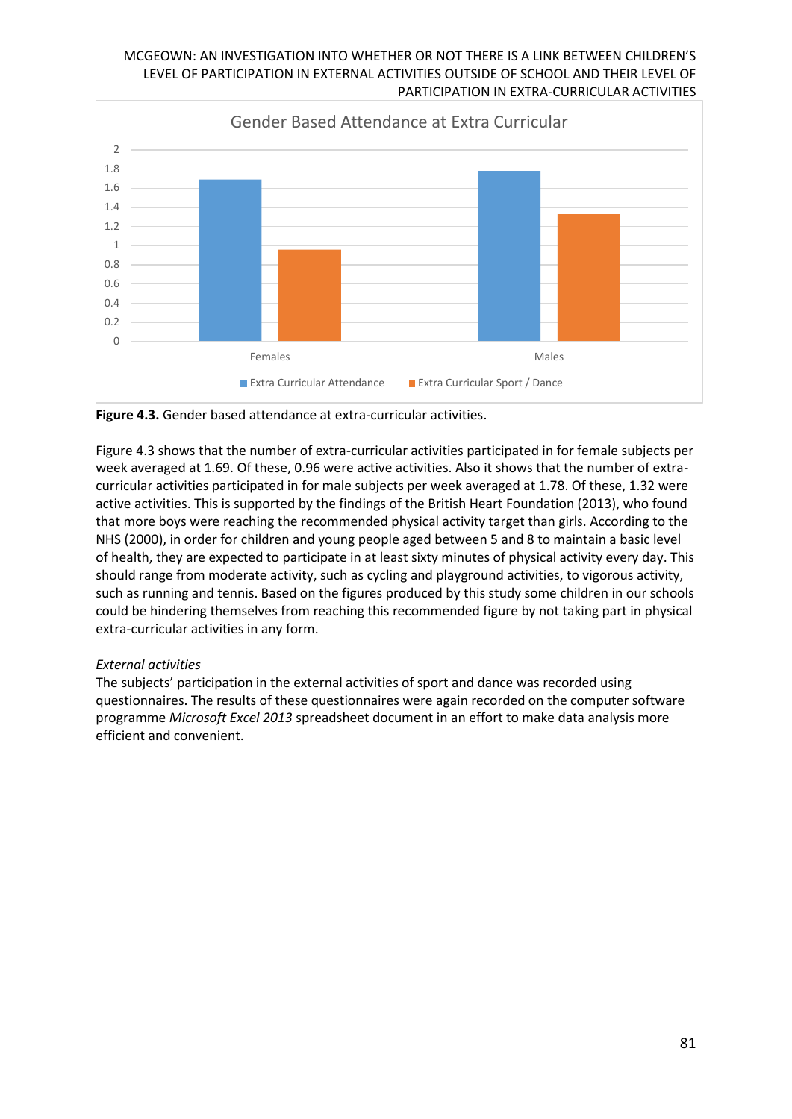

**Figure 4.3.** Gender based attendance at extra-curricular activities.

Figure 4.3 shows that the number of extra-curricular activities participated in for female subjects per week averaged at 1.69. Of these, 0.96 were active activities. Also it shows that the number of extracurricular activities participated in for male subjects per week averaged at 1.78. Of these, 1.32 were active activities. This is supported by the findings of the British Heart Foundation (2013), who found that more boys were reaching the recommended physical activity target than girls. According to the NHS (2000), in order for children and young people aged between 5 and 8 to maintain a basic level of health, they are expected to participate in at least sixty minutes of physical activity every day. This should range from moderate activity, such as cycling and playground activities, to vigorous activity, such as running and tennis. Based on the figures produced by this study some children in our schools could be hindering themselves from reaching this recommended figure by not taking part in physical extra-curricular activities in any form.

## *External activities*

The subjects' participation in the external activities of sport and dance was recorded using questionnaires. The results of these questionnaires were again recorded on the computer software programme *Microsoft Excel 2013* spreadsheet document in an effort to make data analysis more efficient and convenient.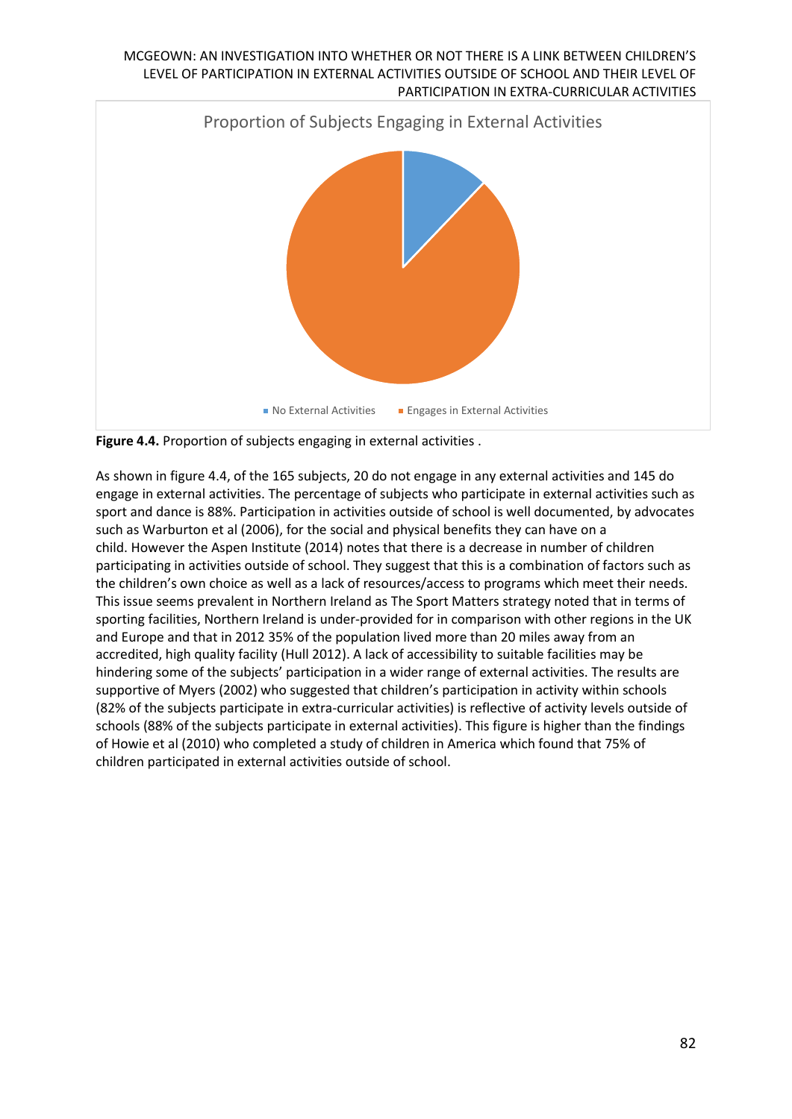

**Figure 4.4.** Proportion of subjects engaging in external activities .

As shown in figure 4.4, of the 165 subjects, 20 do not engage in any external activities and 145 do engage in external activities. The percentage of subjects who participate in external activities such as sport and dance is 88%. Participation in activities outside of school is well documented, by advocates such as Warburton et al (2006), for the social and physical benefits they can have on a child. However the Aspen Institute (2014) notes that there is a decrease in number of children participating in activities outside of school. They suggest that this is a combination of factors such as the children's own choice as well as a lack of resources/access to programs which meet their needs. This issue seems prevalent in Northern Ireland as The Sport Matters strategy noted that in terms of sporting facilities, Northern Ireland is under-provided for in comparison with other regions in the UK and Europe and that in 2012 35% of the population lived more than 20 miles away from an accredited, high quality facility (Hull 2012). A lack of accessibility to suitable facilities may be hindering some of the subjects' participation in a wider range of external activities. The results are supportive of Myers (2002) who suggested that children's participation in activity within schools (82% of the subjects participate in extra-curricular activities) is reflective of activity levels outside of schools (88% of the subjects participate in external activities). This figure is higher than the findings of Howie et al (2010) who completed a study of children in America which found that 75% of children participated in external activities outside of school.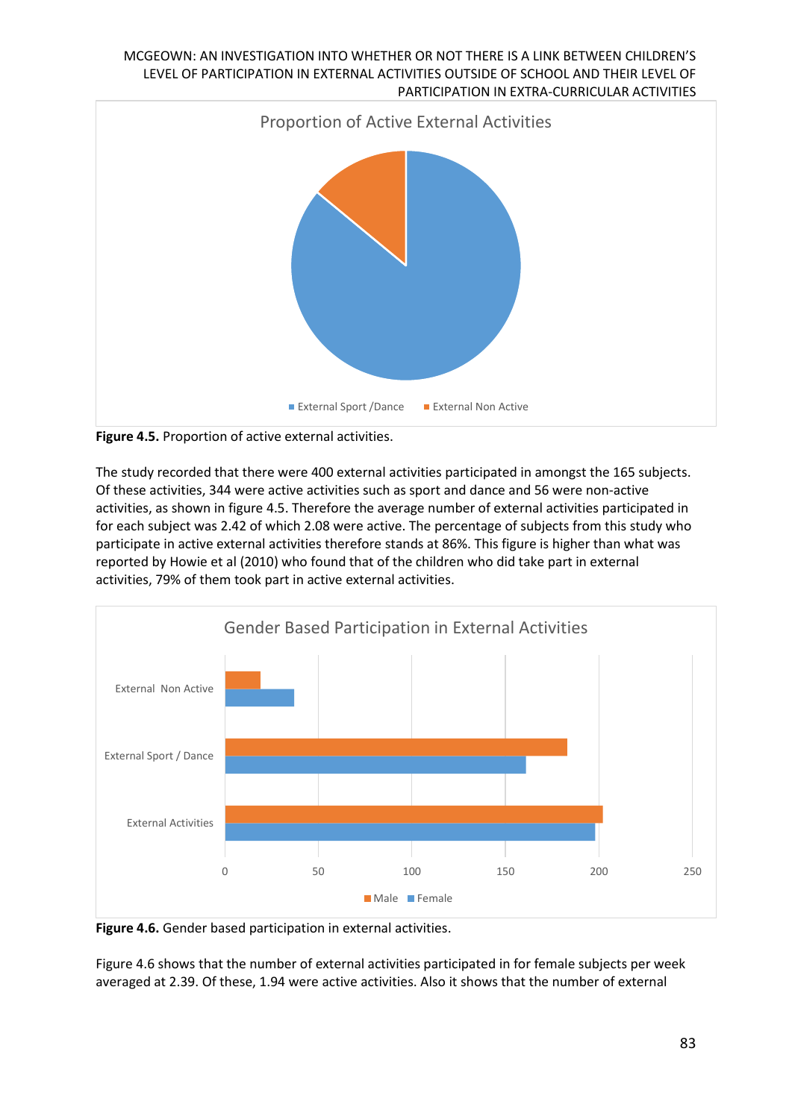

**Figure 4.5.** Proportion of active external activities.

The study recorded that there were 400 external activities participated in amongst the 165 subjects. Of these activities, 344 were active activities such as sport and dance and 56 were non-active activities, as shown in figure 4.5. Therefore the average number of external activities participated in for each subject was 2.42 of which 2.08 were active. The percentage of subjects from this study who participate in active external activities therefore stands at 86%. This figure is higher than what was reported by Howie et al (2010) who found that of the children who did take part in external activities, 79% of them took part in active external activities.



**Figure 4.6.** Gender based participation in external activities.

Figure 4.6 shows that the number of external activities participated in for female subjects per week averaged at 2.39. Of these, 1.94 were active activities. Also it shows that the number of external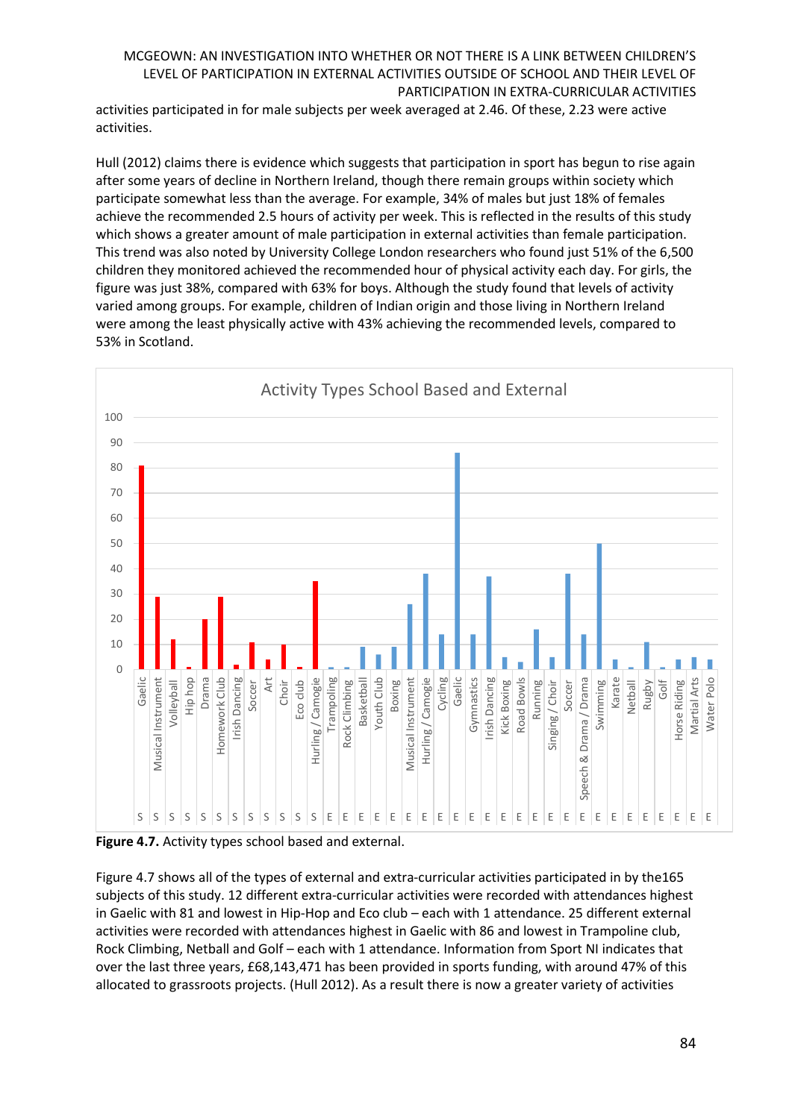activities participated in for male subjects per week averaged at 2.46. Of these, 2.23 were active activities.

Hull (2012) claims there is evidence which suggests that participation in sport has begun to rise again after some years of decline in Northern Ireland, though there remain groups within society which participate somewhat less than the average. For example, 34% of males but just 18% of females achieve the recommended 2.5 hours of activity per week. This is reflected in the results of this study which shows a greater amount of male participation in external activities than female participation. This trend was also noted by University College London researchers who found just 51% of the 6,500 children they monitored achieved the recommended hour of physical activity each day. For girls, the figure was just 38%, compared with 63% for boys. Although the study found that levels of activity varied among groups. For example, children of Indian origin and those living in Northern Ireland were among the least physically active with 43% achieving the recommended levels, compared to 53% in Scotland.



**Figure 4.7.** Activity types school based and external.

Figure 4.7 shows all of the types of external and extra-curricular activities participated in by the165 subjects of this study. 12 different extra-curricular activities were recorded with attendances highest in Gaelic with 81 and lowest in Hip-Hop and Eco club – each with 1 attendance. 25 different external activities were recorded with attendances highest in Gaelic with 86 and lowest in Trampoline club, Rock Climbing, Netball and Golf – each with 1 attendance. Information from Sport NI indicates that over the last three years, £68,143,471 has been provided in sports funding, with around 47% of this allocated to grassroots projects. (Hull 2012). As a result there is now a greater variety of activities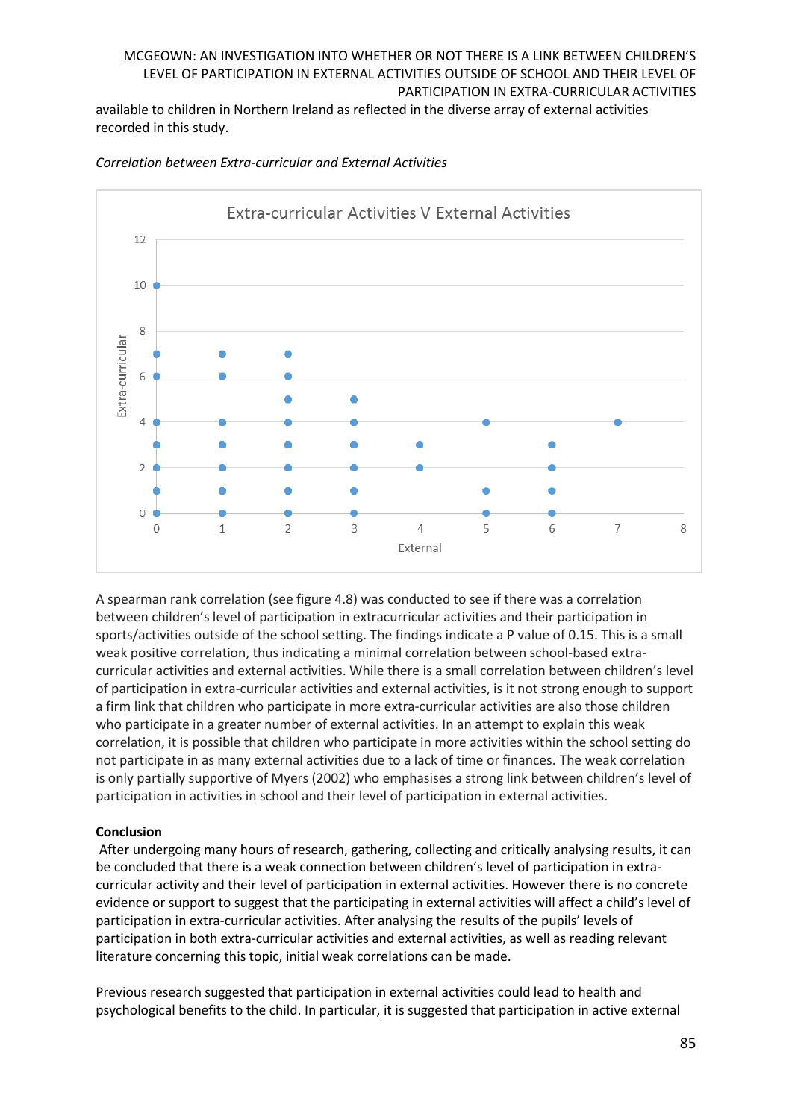available to children in Northern Ireland as reflected in the diverse array of external activities recorded in this study.



*Correlation between Extra-curricular and External Activities*

A spearman rank correlation (see figure 4.8) was conducted to see if there was a correlation between children's level of participation in extracurricular activities and their participation in sports/activities outside of the school setting. The findings indicate a P value of 0.15. This is a small weak positive correlation, thus indicating a minimal correlation between school-based extracurricular activities and external activities. While there is a small correlation between children's level of participation in extra-curricular activities and external activities, is it not strong enough to support a firm link that children who participate in more extra-curricular activities are also those children who participate in a greater number of external activities. In an attempt to explain this weak correlation, it is possible that children who participate in more activities within the school setting do not participate in as many external activities due to a lack of time or finances. The weak correlation is only partially supportive of Myers (2002) who emphasises a strong link between children's level of participation in activities in school and their level of participation in external activities.

## **Conclusion**

After undergoing many hours of research, gathering, collecting and critically analysing results, it can be concluded that there is a weak connection between children's level of participation in extracurricular activity and their level of participation in external activities. However there is no concrete evidence or support to suggest that the participating in external activities will affect a child's level of participation in extra-curricular activities. After analysing the results of the pupils' levels of participation in both extra-curricular activities and external activities, as well as reading relevant literature concerning this topic, initial weak correlations can be made.

Previous research suggested that participation in external activities could lead to health and psychological benefits to the child. In particular, it is suggested that participation in active external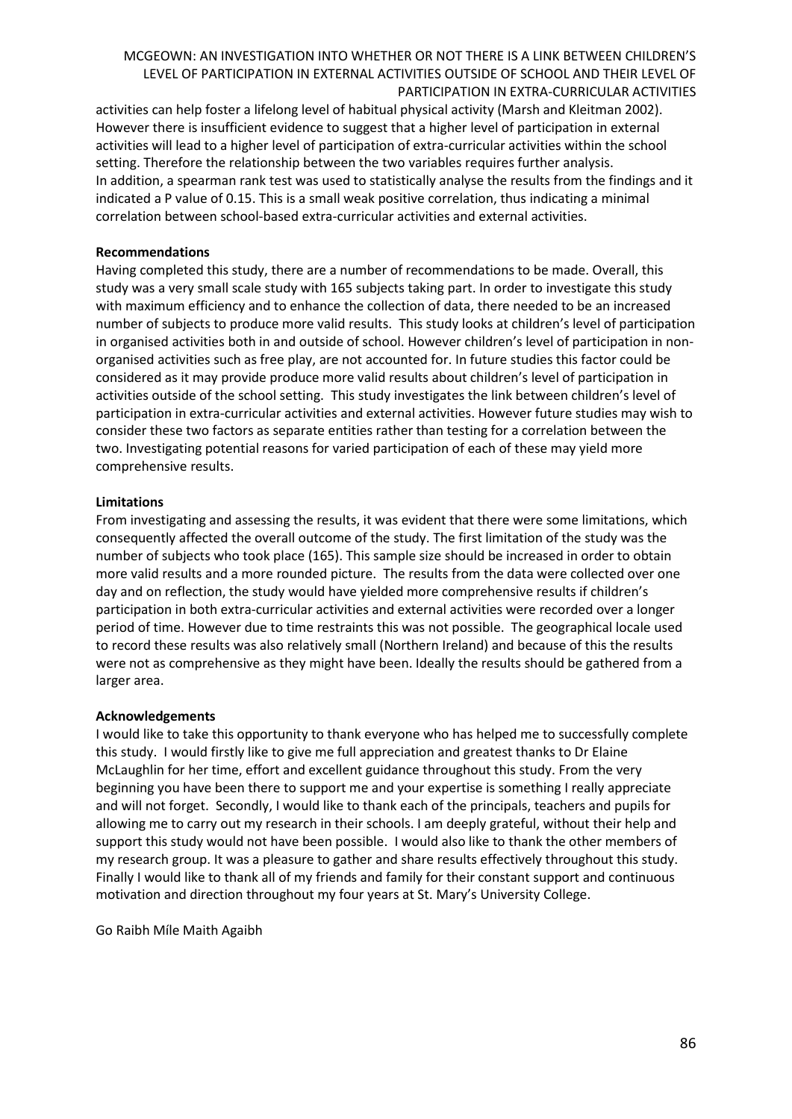activities can help foster a lifelong level of habitual physical activity (Marsh and Kleitman 2002). However there is insufficient evidence to suggest that a higher level of participation in external activities will lead to a higher level of participation of extra-curricular activities within the school setting. Therefore the relationship between the two variables requires further analysis. In addition, a spearman rank test was used to statistically analyse the results from the findings and it indicated a P value of 0.15. This is a small weak positive correlation, thus indicating a minimal correlation between school-based extra-curricular activities and external activities.

## **Recommendations**

Having completed this study, there are a number of recommendations to be made. Overall, this study was a very small scale study with 165 subjects taking part. In order to investigate this study with maximum efficiency and to enhance the collection of data, there needed to be an increased number of subjects to produce more valid results. This study looks at children's level of participation in organised activities both in and outside of school. However children's level of participation in nonorganised activities such as free play, are not accounted for. In future studies this factor could be considered as it may provide produce more valid results about children's level of participation in activities outside of the school setting. This study investigates the link between children's level of participation in extra-curricular activities and external activities. However future studies may wish to consider these two factors as separate entities rather than testing for a correlation between the two. Investigating potential reasons for varied participation of each of these may yield more comprehensive results.

## **Limitations**

From investigating and assessing the results, it was evident that there were some limitations, which consequently affected the overall outcome of the study. The first limitation of the study was the number of subjects who took place (165). This sample size should be increased in order to obtain more valid results and a more rounded picture. The results from the data were collected over one day and on reflection, the study would have yielded more comprehensive results if children's participation in both extra-curricular activities and external activities were recorded over a longer period of time. However due to time restraints this was not possible. The geographical locale used to record these results was also relatively small (Northern Ireland) and because of this the results were not as comprehensive as they might have been. Ideally the results should be gathered from a larger area.

#### **Acknowledgements**

I would like to take this opportunity to thank everyone who has helped me to successfully complete this study. I would firstly like to give me full appreciation and greatest thanks to Dr Elaine McLaughlin for her time, effort and excellent guidance throughout this study. From the very beginning you have been there to support me and your expertise is something I really appreciate and will not forget. Secondly, I would like to thank each of the principals, teachers and pupils for allowing me to carry out my research in their schools. I am deeply grateful, without their help and support this study would not have been possible. I would also like to thank the other members of my research group. It was a pleasure to gather and share results effectively throughout this study. Finally I would like to thank all of my friends and family for their constant support and continuous motivation and direction throughout my four years at St. Mary's University College.

Go Raibh Míle Maith Agaibh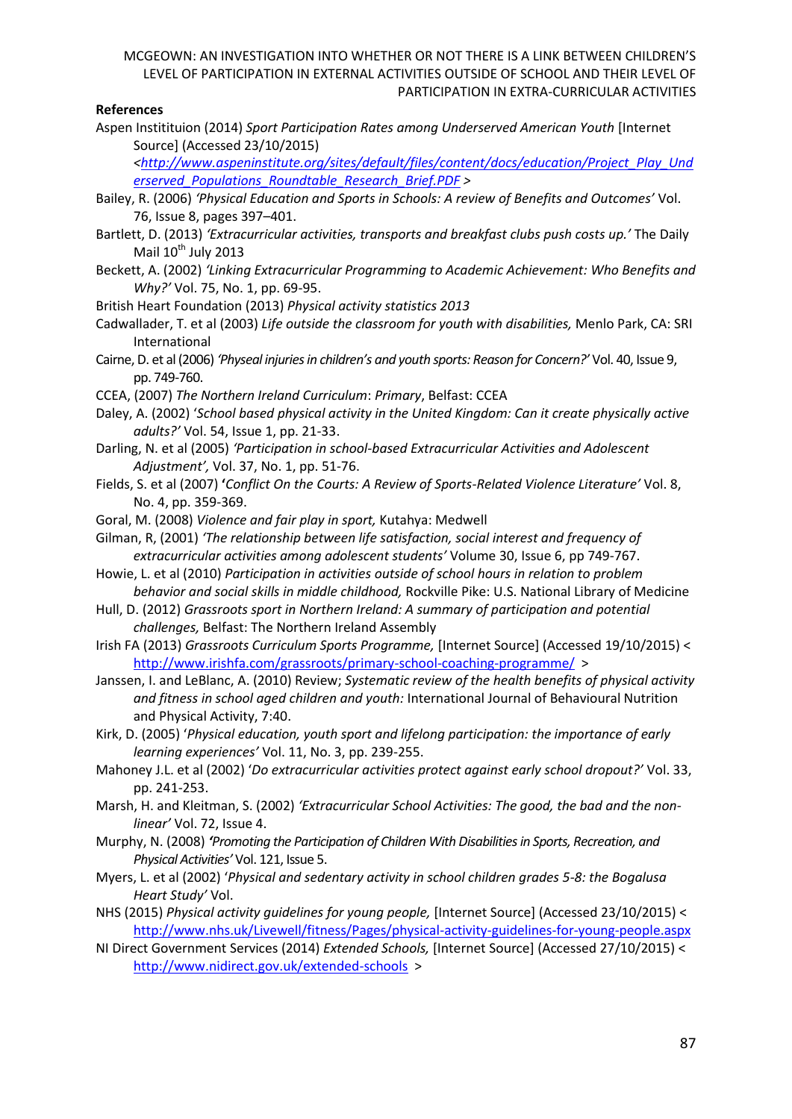## **References**

Aspen Institituion (2014) *Sport Participation Rates among Underserved American Youth* [Internet Source] (Accessed 23/10/2015)

*[<http://www.aspeninstitute.org/sites/default/files/content/docs/education/Project\\_Play\\_Und](http://www.aspeninstitute.org/sites/default/files/content/docs/education/Project_Play_Underserved_Populations_Roundtable_Research_Brief.PDF) [erserved\\_Populations\\_Roundtable\\_Research\\_Brief.PDF](http://www.aspeninstitute.org/sites/default/files/content/docs/education/Project_Play_Underserved_Populations_Roundtable_Research_Brief.PDF) >*

- Bailey, R. (2006) *'Physical Education and Sports in Schools: A review of Benefits and Outcomes'* [Vol.](http://onlinelibrary.wiley.com/doi/10.1111/josh.2006.76.issue-8/issuetoc)  [76, Issue 8, p](http://onlinelibrary.wiley.com/doi/10.1111/josh.2006.76.issue-8/issuetoc)ages 397–401.
- Bartlett, D. (2013) *'Extracurricular activities, transports and breakfast clubs push costs up.'* The Daily Mail 10<sup>th</sup> July 2013
- Beckett, A. (2002) *'Linking Extracurricular Programming to Academic Achievement: Who Benefits and Why?'* Vol. 75, No. 1, pp. 69-95.
- British Heart Foundation (2013) *Physical activity statistics 2013*
- Cadwallader, T. et al (2003) *Life outside the classroom for youth with disabilities,* Menlo Park, CA: SRI International
- Cairne, D. et al (2006) *'Physeal injuries in children's and youth sports: Reason for Concern?'* Vol. 40, Issue 9, pp. 749-760.
- CCEA, (2007) *The Northern Ireland Curriculum*: *Primary*, Belfast: CCEA
- Daley, A. (2002) '*School based physical activity in the United Kingdom: Can it create physically active adults?'* Vol. 54, Issue 1, pp. 21-33.
- Darling, N. et al (2005) *'Participation in school-based Extracurricular Activities and Adolescent Adjustment',* Vol. 37, No. 1, pp. 51-76.
- Fields, S. et al (2007) **'***Conflict On the Courts: A Review of Sports-Related Violence Literature'* Vol. 8, No. 4, pp. 359-369.
- Goral, M. (2008) *Violence and fair play in sport,* Kutahya: Medwell
- Gilman, R, (2001) *'The relationship between life satisfaction, social interest and frequency of extracurricular activities among adolescent students'* Volume 30, [Issue](http://link.springer.com/journal/10964/30/6/page/1) 6, pp 749-767.
- Howie, L. et al (2010) *Participation in activities outside of school hours in relation to problem behavior and social skills in middle childhood,* Rockville Pike: [U.S. National Library of Medicine](http://www.nlm.nih.gov/)
- Hull, D. (2012) *Grassroots sport in Northern Ireland: A summary of participation and potential challenges,* Belfast: The Northern Ireland Assembly
- Irish FA (2013) *Grassroots Curriculum Sports Programme,* [Internet Source] (Accessed 19/10/2015) < <http://www.irishfa.com/grassroots/primary-school-coaching-programme/>>
- Janssen, I. and LeBlanc, A. (2010) Review; *Systematic review of the health benefits of physical activity and fitness in school aged children and youth:* International Journal of Behavioural Nutrition and Physical Activity, 7:40.
- Kirk, D. (2005) '*Physical education, youth sport and lifelong participation: the importance of early learning experiences'* Vol. 11, No. 3, pp. 239-255.
- Mahoney J.L. et al (2002) '*Do extracurricular activities protect against early school dropout?'* Vol. 33, pp. 241-253.
- Marsh, H. and Kleitman, S. (2002) *'Extracurricular School Activities: The good, the bad and the nonlinear'* Vol. 72, Issue 4.
- Murphy, N. (2008) *'Promoting the Participation of Children With Disabilities in Sports, Recreation, and Physical Activities'* Vol. 121, Issue 5.
- Myers, L. et al (2002) '*Physical and sedentary activity in school children grades 5-8: the Bogalusa Heart Study'* Vol.
- NHS (2015) *Physical activity guidelines for young people,* [Internet Source] (Accessed 23/10/2015) < <http://www.nhs.uk/Livewell/fitness/Pages/physical-activity-guidelines-for-young-people.aspx>
- NI Direct Government Services (2014) *Extended Schools,* [Internet Source] (Accessed 27/10/2015) < <http://www.nidirect.gov.uk/extended-schools>>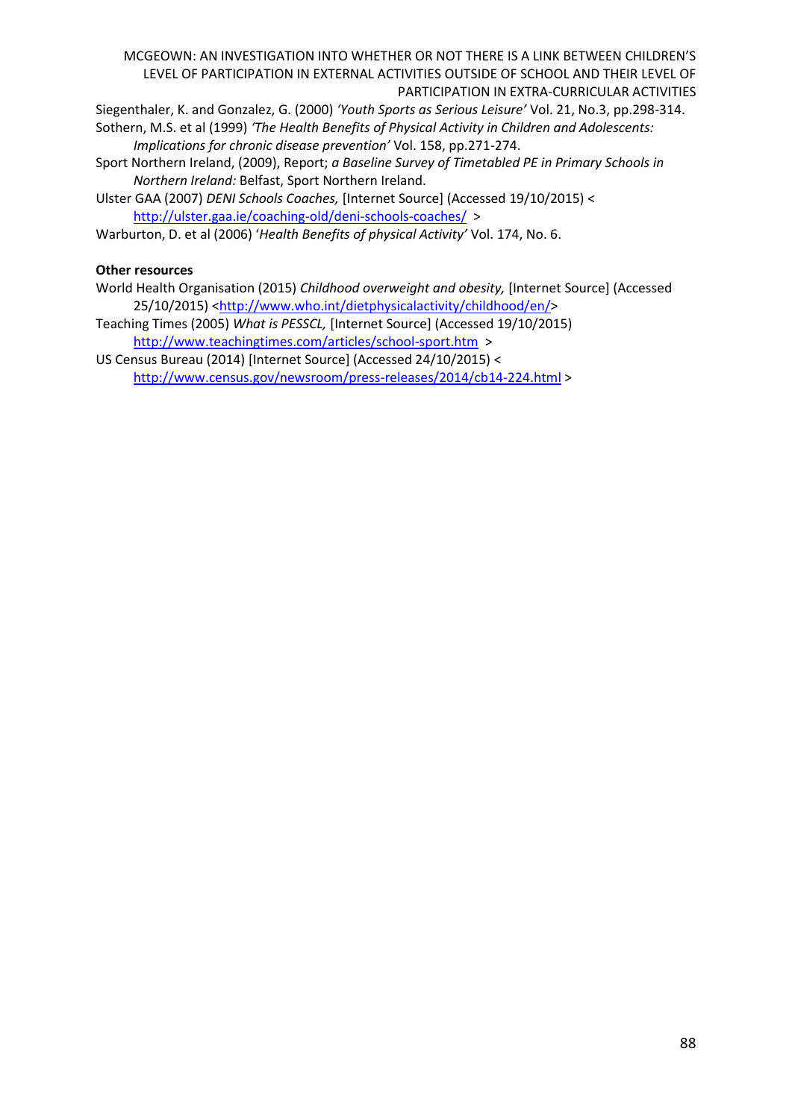Siegenthaler, K. and Gonzalez, G. (2000) *'Youth Sports as Serious Leisure'* Vol. 21, No.3, pp.298-314.

Sothern, M.S. et al (1999) *'The Health Benefits of Physical Activity in Children and Adolescents: Implications for chronic disease prevention'* Vol. 158, pp.271-274.

Sport Northern Ireland, (2009), Report; *a Baseline Survey of Timetabled PE in Primary Schools in Northern Ireland:* Belfast, Sport Northern Ireland.

Ulster GAA (2007) *DENI Schools Coaches,* [Internet Source] (Accessed 19/10/2015) < <http://ulster.gaa.ie/coaching-old/deni-schools-coaches/>>

Warburton, D. et al (2006) '*Health Benefits of physical Activity'* Vol. 174, No. 6.

# **Other resources**

- World Health Organisation (2015) *Childhood overweight and obesity,* [Internet Source] (Accessed 25/10/2015) [<http://www.who.int/dietphysicalactivity/childhood/en/>](http://www.who.int/dietphysicalactivity/childhood/en/)
- Teaching Times (2005) *What is PESSCL,* [Internet Source] (Accessed 19/10/2015) <http://www.teachingtimes.com/articles/school-sport.htm>>

US Census Bureau (2014) [Internet Source] (Accessed 24/10/2015) < <http://www.census.gov/newsroom/press-releases/2014/cb14-224.html> >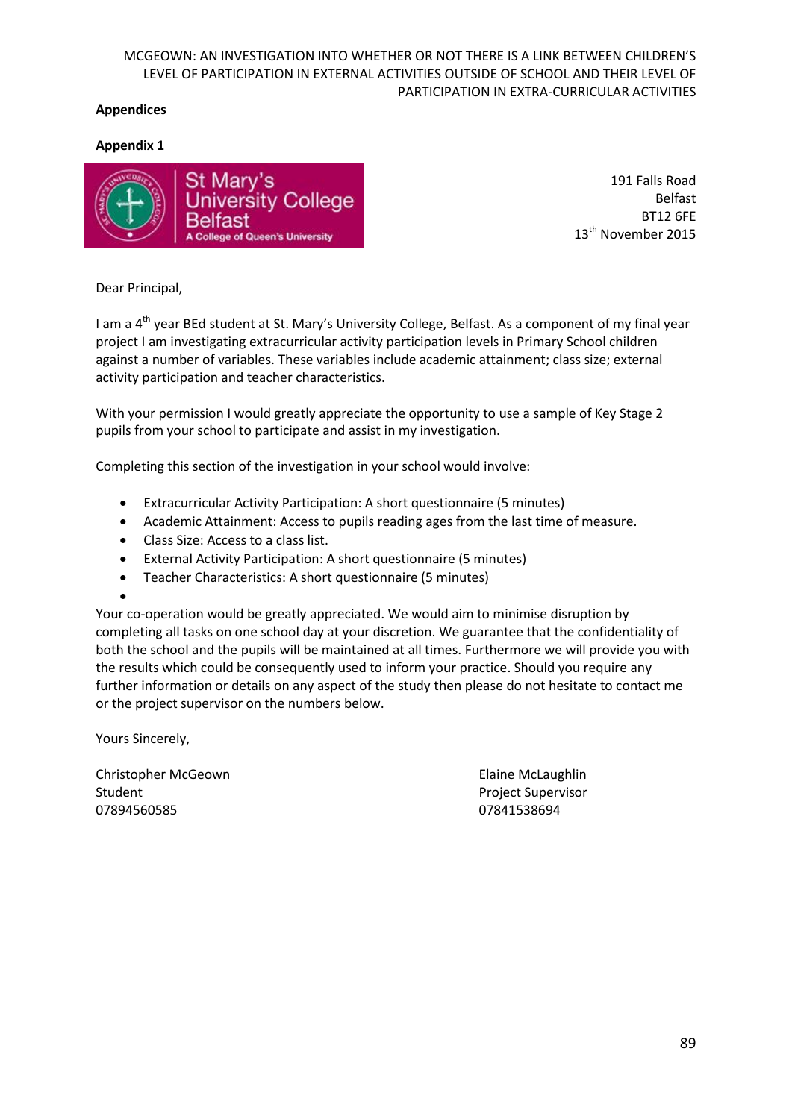## **Appendices**

## **Appendix 1**



191 Falls Road Belfast BT12 6FE 13<sup>th</sup> November 2015

Dear Principal,

I am a 4<sup>th</sup> year BEd student at St. Mary's University College, Belfast. As a component of my final year project I am investigating extracurricular activity participation levels in Primary School children against a number of variables. These variables include academic attainment; class size; external activity participation and teacher characteristics.

With your permission I would greatly appreciate the opportunity to use a sample of Key Stage 2 pupils from your school to participate and assist in my investigation.

Completing this section of the investigation in your school would involve:

- Extracurricular Activity Participation: A short questionnaire (5 minutes)
- Academic Attainment: Access to pupils reading ages from the last time of measure.
- Class Size: Access to a class list.
- External Activity Participation: A short questionnaire (5 minutes)
- Teacher Characteristics: A short questionnaire (5 minutes)
- $\bullet$

Your co-operation would be greatly appreciated. We would aim to minimise disruption by completing all tasks on one school day at your discretion. We guarantee that the confidentiality of both the school and the pupils will be maintained at all times. Furthermore we will provide you with the results which could be consequently used to inform your practice. Should you require any further information or details on any aspect of the study then please do not hesitate to contact me or the project supervisor on the numbers below.

Yours Sincerely,

Christopher McGeown Elaine McLaughlin Student Project Supervisor 07894560585 07841538694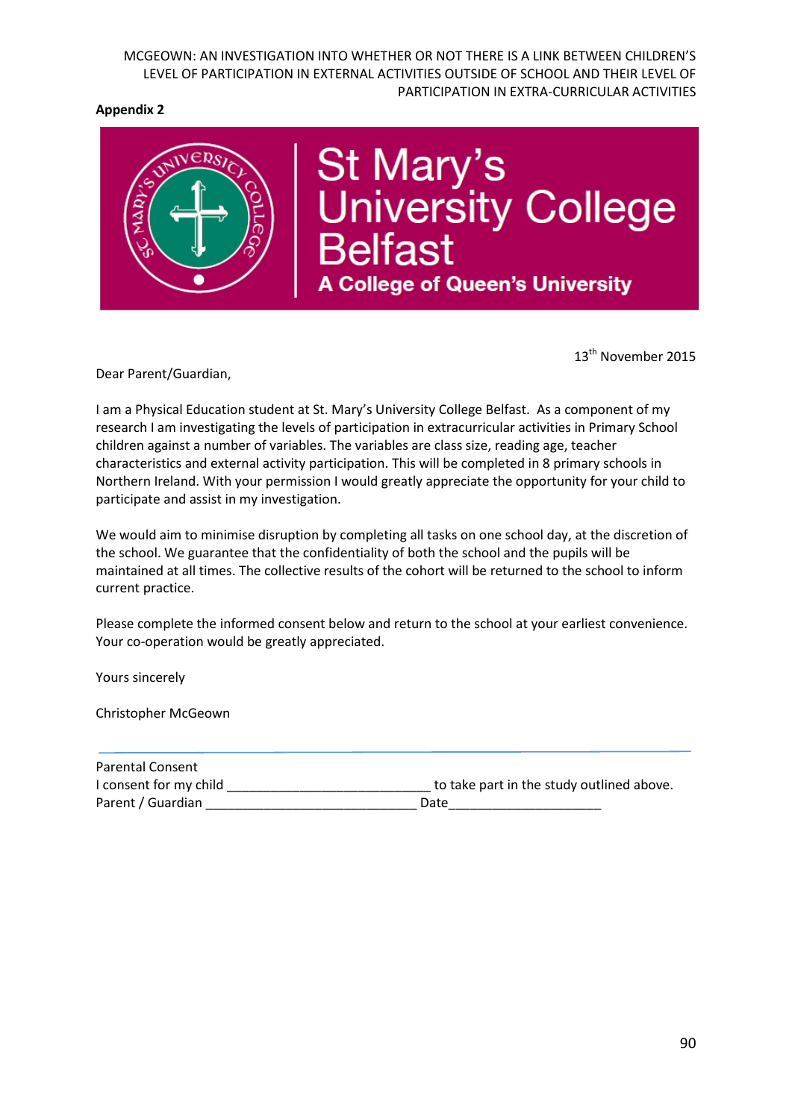## **Appendix 2**



St Mary's<br>University College<br>Belfast **A College of Queen's University** 

13<sup>th</sup> November 2015

Dear Parent/Guardian,

I am a Physical Education student at St. Mary's University College Belfast. As a component of my research I am investigating the levels of participation in extracurricular activities in Primary School children against a number of variables. The variables are class size, reading age, teacher characteristics and external activity participation. This will be completed in 8 primary schools in Northern Ireland. With your permission I would greatly appreciate the opportunity for your child to participate and assist in my investigation.

We would aim to minimise disruption by completing all tasks on one school day, at the discretion of the school. We guarantee that the confidentiality of both the school and the pupils will be maintained at all times. The collective results of the cohort will be returned to the school to inform current practice.

Please complete the informed consent below and return to the school at your earliest convenience. Your co-operation would be greatly appreciated.

Yours sincerely

Christopher McGeown

| <b>Parental Consent</b> |                                           |
|-------------------------|-------------------------------------------|
| I consent for my child  | to take part in the study outlined above. |
| Parent / Guardian       | Date                                      |